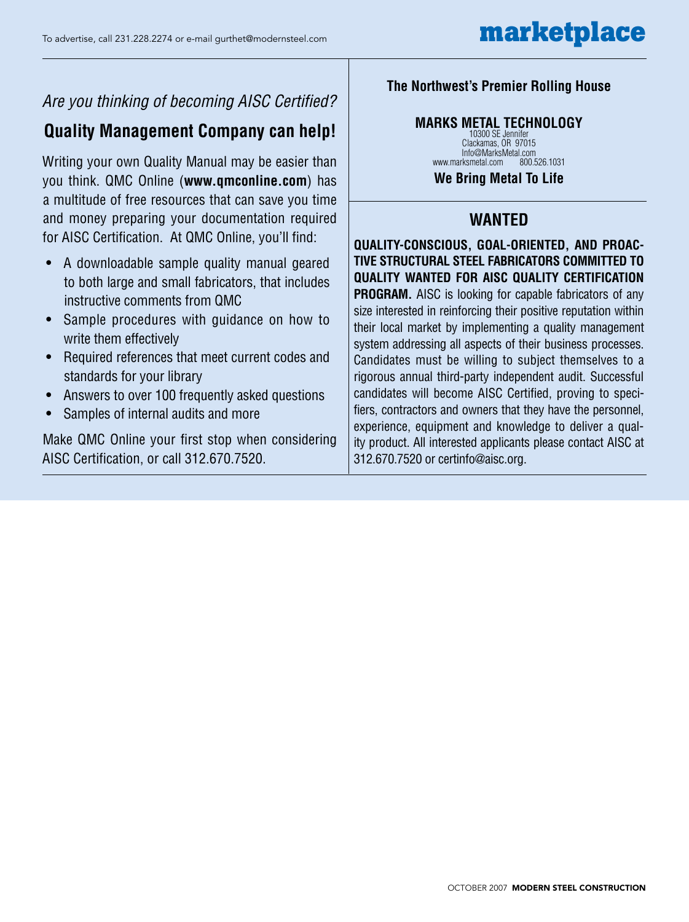# *Are you thinking of becoming AISC Certified?*

# **Quality Management Company can help!**

Writing your own Quality Manual may be easier than you think. QMC Online (**www.qmconline.com**) has a multitude of free resources that can save you time and money preparing your documentation required for AISC Certification. At QMC Online, you'll find:

- A downloadable sample quality manual geared to both large and small fabricators, that includes instructive comments from QMC
- Sample procedures with guidance on how to write them effectively
- Required references that meet current codes and standards for your library
- Answers to over 100 frequently asked questions
- Samples of internal audits and more

Make QMC Online your first stop when considering AISC Certification, or call 312.670.7520.

# **The Northwest's Premier Rolling House**

# **MARKS METAL TECHNOLOGY**

10300 SE Jennifer Clackamas, OR 97015 Info@MarksMetal.com<br>rksmetal.com 800.526.1031 www.marksmetal.com

**We Bring Metal To Life**

# **WANTED**

**Quality-conscious, goal-oriented, and proactive structural steel fabricators committed to quality wanted for AISC Quality Certification PROGRAM.** AISC is looking for capable fabricators of any size interested in reinforcing their positive reputation within their local market by implementing a quality management system addressing all aspects of their business processes. Candidates must be willing to subject themselves to a rigorous annual third-party independent audit. Successful candidates will become AISC Certified, proving to specifiers, contractors and owners that they have the personnel, experience, equipment and knowledge to deliver a quality product. All interested applicants please contact AISC at 312.670.7520 or certinfo@aisc.org.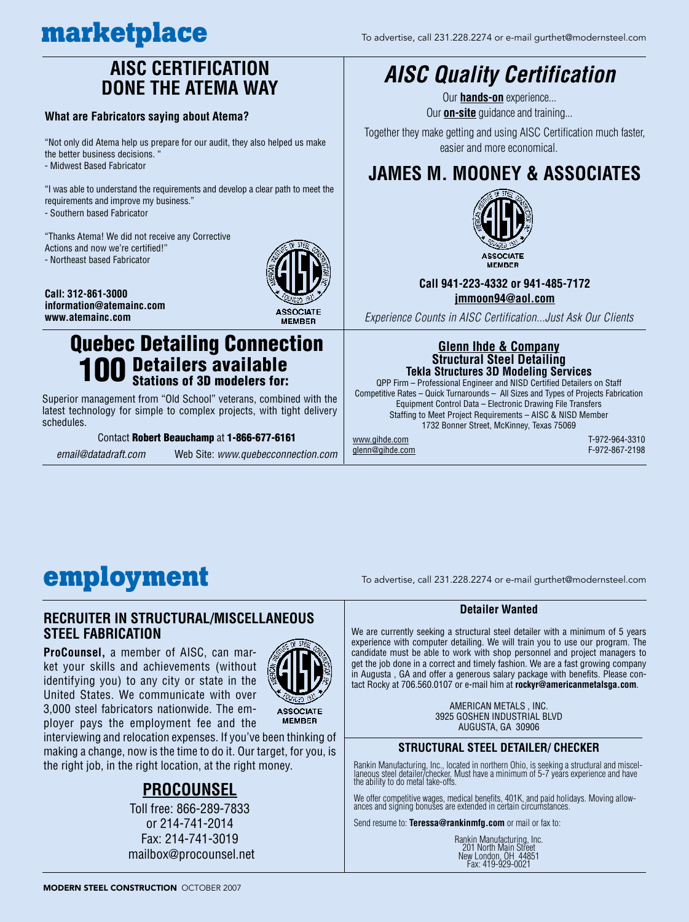# **AISC CERTIFICATION DONE THE ATEMA WAY**

### **What are Fabricators saying about Atema?**

"Not only did Atema help us prepare for our audit, they also helped us make the better business decisions. - Midwest Based Fabricator

"I was able to understand the requirements and develop a clear path to meet the requirements and improve my business."

- Southern based Fabricator

"Thanks Atema! We did not receive any Corrective Actions and now we're certified!" - Northeast based Fabricator





## **information@atemainc.com www.atemainc.com**

# Quebec Detailing Connection Detailers available

# **100 Detailers available**<br>**100** Stations of 3D modelers for:

Superior management from "Old School" veterans, combined with the latest technology for simple to complex projects, with tight delivery schedules.

#### Contact Robert Beauchamp at 1-866-677-6161

*email@datadraft.com* Web Site: *www.quebecconnection.com*

# *AISC Quality Certification*

Our **hands-on** experience... Our **on-site** guidance and training...

Together they make getting and using AISC Certification much faster, easier and more economical.

# **JAMES M. MOONEY & ASSOCIATES**



## **Call 941-223-4332 or 941-485-7172 jmmoon94@aol.com**

*Experience Counts in AISC Certification...Just Ask Our Clients*

### **Glenn Ihde & Company Structural Steel Detailing Tekla Structures 3D Modeling Services**

QPP Firm – Professional Engineer and NISD Certified Detailers on Staff Competitive Rates – Quick Turnarounds – All Sizes and Types of Projects Fabrication Equipment Control Data – Electronic Drawing File Transfers Staffing to Meet Project Requirements – AISC & NISD Member 1732 Bonner Street, McKinney, Texas 75069

glenn@gihde.com

www.gihde.com T-972-964-3310

# **employment** To advertise, call 231.228.2274 or e-mail gurthet@modernsteel.com

## **recruiter in structural/miscellaneous steel Fabrication**

**ProCounsel,** a member of AISC, can market your skills and achievements (without identifying you) to any city or state in the United States. We communicate with over 3,000 steel fabricators nationwide. The employer pays the employment fee and the



**ASSOCIATE MEMBER** 

interviewing and relocation expenses. If you've been thinking of making a change, now is the time to do it. Our target, for you, is the right job, in the right location, at the right money.

# **procounsel**

Toll free: 866-289-7833 or 214-741-2014 Fax: 214-741-3019 mailbox@procounsel.net

### **Detailer Wanted**

We are currently seeking a structural steel detailer with a minimum of 5 years experience with computer detailing. We will train you to use our program. The candidate must be able to work with shop personnel and project managers to get the job done in a correct and timely fashion. We are a fast growing company in Augusta , GA and offer a generous salary package with benefits. Please contact Rocky at 706.560.0107 or e-mail him at **rockyr@americanmetalsga.com**.

> AMERICAN METALS , INC. 3925 GOSHEN INDUSTRIAL BLVD AUGUSTA, GA 30906

## **STRUCTURAL STEEL DETAILER/ CHECKER**

Rankin Manufacturing, Inc., located in northern Ohio, is seeking a structural and miscel-<br>laneous steel detailer/checker. Must have a minimum of 5-7 years experience and have<br>the ability to do metal take-offs.

We offer competitive wages, medical benefits, 401K, and paid holidays. Moving allow-<br>ances and signing bonuses are extended in certain circumstances.

Send resume to: **Teressa@rankinmfg.com** or mail or fax to:

| Rankin Manufacturing. Inc. |
|----------------------------|
| 201 North Main Street      |
| New London, OH 44851       |
| Fax: 419-929-0021          |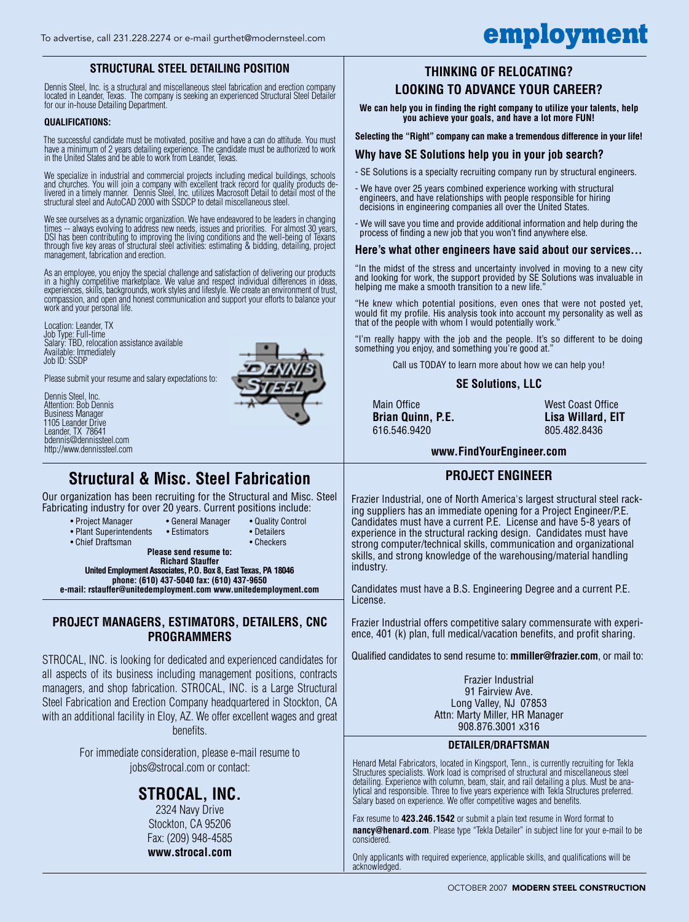## **STRUCTURAL STEEL DETAILING POSITION**

Dennis Steel, Inc. is a structural and miscellaneous steel fabrication and erection company located in Leander, Texas. The company is seeking an experienced Structural Steel Detailer for our in-house Detailing Department.

#### **QUALIFICATIONS:**

The successful candidate must be motivated, positive and have a can do attitude. You must have a minimum of 2 years detailing experience. The candidate must be authorized to work in the United States and be able to work from Leander, Texas.

We specialize in industrial and commercial projects including medical buildings, schools<br>and churches. You will join a company with excellent track record for quality products de-<br>livered in a timely manner. Dennis Steel, structural steel and AutoCAD 2000 with SSDCP to detail miscellaneous steel.

We see ourselves as a dynamic organization. We have endeavored to be leaders in changing times -- always evolving to address new needs, issues and priorities. For almost 30 years,<br>DSI has been contributing to improving the living conditions and the well-being of Texans through five key areas of structural steel activities: estimating & bidding, detailing, project management, fabrication and erection.

As an employee, you enjoy the special challenge and satisfaction of delivering our products<br>in a highly competitive marketplace. We value and respect individual differences in ideas,<br>experiences, skills, backgrounds, work compassion, and open and honest communication and support your efforts to balance your work and your personal life.

Location: Leander, TX Job Type: Full-time Salary: TBD, relocation assistance available Available: Immediately Job ID: SSDP

Please submit your resume and salary expectations to:

Dennis Steel, Inc. Attention: Bob Dennis Business Manager 1105 Leander Drive Leander, TX 78641 bdennis@dennissteel.com http://www.dennissteel.com



# **Structural & Misc. Steel Fabrication**

Our organization has been recruiting for the Structural and Misc. Steel Fabricating industry for over 20 years. Current positions include:

- Project Manager General Manager Quality Control
- Plant Superintendents Estimators Detailers
- Chief Draftsman Checkers
- - **Please send resume to: Richard Stauffer**

**United Employment Associates, P.O. Box 8, East Texas, PA 18046 phone: (610) 437-5040 fax: (610) 437-9650 e-mail: rstauffer@unitedemployment.com www.unitedemployment.com**

## **Project Managers, Estimators, detailers, cnc programmers**

STROCAL, INC. is looking for dedicated and experienced candidates for all aspects of its business including management positions, contracts managers, and shop fabrication. STROCAL, INC. is a Large Structural Steel Fabrication and Erection Company headquartered in Stockton, CA with an additional facility in Eloy, AZ. We offer excellent wages and great benefits.

> For immediate consideration, please e-mail resume to jobs@strocal.com or contact:

# **STROCAL, INC.**

2324 Navy Drive Stockton, CA 95206 Fax: (209) 948-4585 **www.strocal.com**

## **THINKING OF RELOCATING? LOOKING TO ADVANCE YOUR CAREER?**

**We can help you in finding the right company to utilize your talents, help you achieve your goals, and have a lot more FUN!**

#### **Selecting the "Right" company can make a tremendous difference in your life!**

### **Why have SE Solutions help you in your job search?**

- SE Solutions is a specialty recruiting company run by structural engineers.

- We have over 25 years combined experience working with structural engineers, and have relationships with people responsible for hiring decisions in engineering companies all over the United States.
- We will save you time and provide additional information and help during the process of finding a new job that you won't find anywhere else.

#### **Here's what other engineers have said about our services...**

"In the midst of the stress and uncertainty involved in moving to a new city and looking for work, the support provided by SE Solutions was invaluable in helping me make a smooth transition to a new life.

"He knew which potential positions, even ones that were not posted yet, would fit my profile. His analysis took into account my personality as well as that of the people with whom I would potentially work.

"I'm really happy with the job and the people. It's so different to be doing something you enjoy, and something you're good at."

Call us TODAY to learn more about how we can help you!

### **SE Solutions, LLC**

616.546.9420 805.482.8436

Main Office West Coast Office **Brian Quinn, P.E. Lisa Willard, EIT**

### **www.FindYourEngineer.com**

## **PROJECT ENGINEER**

Frazier Industrial, one of North America's largest structural steel racking suppliers has an immediate opening for a Project Engineer/P.E. Candidates must have a current P.E. License and have 5-8 years of experience in the structural racking design. Candidates must have strong computer/technical skills, communication and organizational skills, and strong knowledge of the warehousing/material handling industry.

Candidates must have a B.S. Engineering Degree and a current P.E. License.

Frazier Industrial offers competitive salary commensurate with experience, 401 (k) plan, full medical/vacation benefits, and profit sharing.

Qualified candidates to send resume to: **mmiller@frazier.com**, or mail to:

Frazier Industrial 91 Fairview Ave. Long Valley, NJ 07853 Attn: Marty Miller, HR Manager 908.876.3001 x316

#### **DETAILER/DRAFTSMAN**

Henard Metal Fabricators, located in Kingsport, Tenn., is currently recruiting for Tekla Structures specialists. Work load is comprised of structural and miscellaneous steel detailing. Experience with column, beam, stair, and rail detailing a plus. Must be analytical and responsible. Three to five years experience with Tekla Structures preferred. Salary based on experience. We offer competitive wages and benefits.

Fax resume to **423.246.1542** or submit a plain text resume in Word format to **nancy@henard.com**. Please type "Tekla Detailer" in subject line for your e-mail to be considered.

Only applicants with required experience, applicable skills, and qualifications will be acknowledged.

# To advertise, call 231.228.2274 or e-mail gurthet@modernsteel.com **employment**